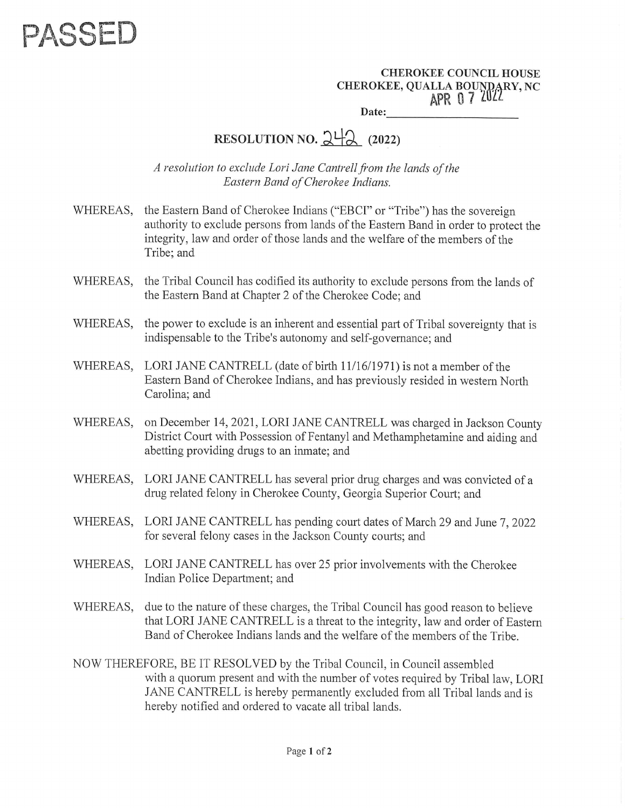

CHEROKEE COUNCIL HOUSE **CHEROKEE, QUALLA BOUNDARY, NC** APR 07 2022 Date:

## RESOLUTION NO.  $2\frac{1}{2}$  (2022)

A resolution to exclude Lori Jane Cantrell from the lands of the Eastern Band of Cherokee Indians.

- WHEREAS, the Eastern Band of Cherokee Indians ("EBCI" or "Tribe") has the sovereign authority to exclude persons from lands of the Eastern Band in order to protect the integrity, law and order of those lands and the welfare of the members of the Tribe; and
- WHEREAS, the Tribal Council has codified its authority to exclude persons from the lands of the Eastern Band at Chapter 2 of the Cherokee Code; and
- WHEREAS, the power to exclude is an inherent and essential part of Tribal sovereignty that is indispensable to the Tribe's autonomy and self-governance; and
- WHEREAS, LORI JANE CANTRELL (date of birth 11/16/1971) is not a member of the Eastern Band of Cherokee Indians, and has previously resided in western North Carolina; and
- WHEREAS, on December 14, 2021, LORI JANE CANTRELL was charged in Jackson County District Court with Possession of Fentanyl and Methamphetamine and aiding and abetting providing drugs to an inmate; and
- WHEREAS, LORI JANE CANTRELL has several prior drug charges and was convicted of a drug related felony in Cherokee County, Georgia Superior Court; and
- WHEREAS, LORI JANE CANTRELL has pending court dates of March 29 and June 7, 2022 for several felony cases in the Jackson County courts; and
- WHEREAS, LORI JANE CANTRELL has over 25 prior involvements with the Cherokee Indian Police Department; and
- WHEREAS, due to the nature of these charges, the Tribal Council has good reason to believe that LORI JANE CANTRELL is a threat to the integrity, law and order of Eastern Band of Cherokee Indians lands and the welfare of the members of the Tribe.
- NOW THEREFORE, BE IT RESOLVED by the Tribal Council, in Council assembled with a quorum present and with the number of votes required by Tribal law, LORI JANE CANTRELL is hereby permanently excluded from all Tribal lands and is hereby notified and ordered to vacate all tribal lands.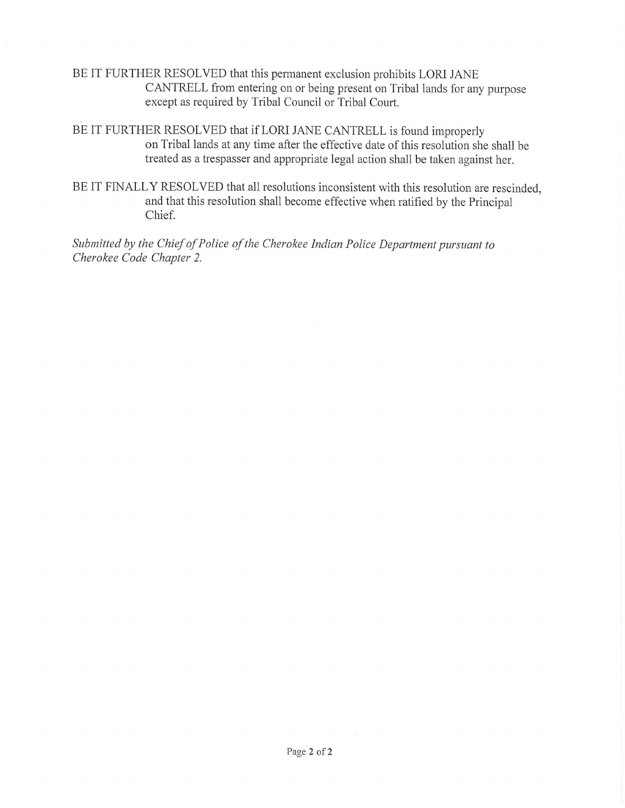BE IT FURTHER RESOLVED that this permanent exclusion prohibits LORI JANE CANTRELL from entering on or being present on Tribal lands for any purpose except as required by Tribal Council or Tribal Court.

BE IT FURTHER RESOLVED that if LORI JANE CANTRELL is found improperly on Tribal lands at any time after the effective date of this resolution she shall be treated as a trespasser and appropriate legal action shall be taken against her.

BE IT FINALLY RESOLVED that all resolutions inconsistent with this resolution are rescinded, and that this resolution shall become effective when ratified by the Principal Chief.

Submitted by the Chief of Police of the Cherokee Indian Police Department pursuant to Cherokee Code Chapter 2.